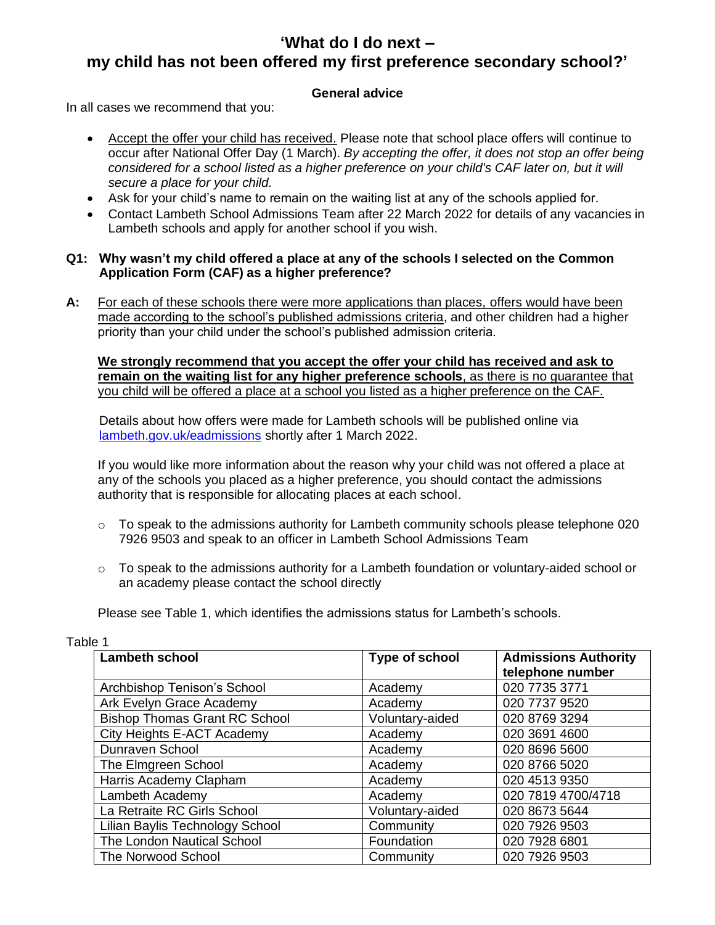# **'What do I do next – my child has not been offered my first preference secondary school?'**

# **General advice**

In all cases we recommend that you:

- Accept the offer your child has received. Please note that school place offers will continue to occur after National Offer Day (1 March). *By accepting the offer, it does not stop an offer being considered for a school listed as a higher preference on your child's CAF later on, but it will secure a place for your child.*
- Ask for your child's name to remain on the waiting list at any of the schools applied for.
- Contact Lambeth School Admissions Team after 22 March 2022 for details of any vacancies in Lambeth schools and apply for another school if you wish.

## **Q1: Why wasn't my child offered a place at any of the schools I selected on the Common Application Form (CAF) as a higher preference?**

**A:** For each of these schools there were more applications than places, offers would have been made according to the school's published admissions criteria, and other children had a higher priority than your child under the school's published admission criteria.

**We strongly recommend that you accept the offer your child has received and ask to remain on the waiting list for any higher preference schools**, as there is no guarantee that you child will be offered a place at a school you listed as a higher preference on the CAF.

Details about how offers were made for Lambeth schools will be published online via [lambeth.gov.uk/eadmissions](http://www.lambeth.gov.uk/eadmissions) shortly after 1 March 2022.

If you would like more information about the reason why your child was not offered a place at any of the schools you placed as a higher preference, you should contact the admissions authority that is responsible for allocating places at each school.

- $\circ$  To speak to the admissions authority for Lambeth community schools please telephone 020 7926 9503 and speak to an officer in Lambeth School Admissions Team
- $\circ$  To speak to the admissions authority for a Lambeth foundation or voluntary-aided school or an academy please contact the school directly

Please see Table 1, which identifies the admissions status for Lambeth's schools.

| <b>Lambeth school</b>                | <b>Type of school</b> | <b>Admissions Authority</b><br>telephone number |
|--------------------------------------|-----------------------|-------------------------------------------------|
| Archbishop Tenison's School          | Academy               | 020 7735 3771                                   |
| Ark Evelyn Grace Academy             | Academy               | 020 7737 9520                                   |
| <b>Bishop Thomas Grant RC School</b> | Voluntary-aided       | 020 8769 3294                                   |
| City Heights E-ACT Academy           | Academy               | 020 3691 4600                                   |
| Dunraven School                      | Academy               | 020 8696 5600                                   |
| The Elmgreen School                  | Academy               | 020 8766 5020                                   |
| Harris Academy Clapham               | Academy               | 020 4513 9350                                   |
| Lambeth Academy                      | Academy               | 020 7819 4700/4718                              |
| La Retraite RC Girls School          | Voluntary-aided       | 020 8673 5644                                   |
| Lilian Baylis Technology School      | Community             | 020 7926 9503                                   |
| The London Nautical School           | Foundation            | 020 7928 6801                                   |
| The Norwood School                   | Community             | 020 7926 9503                                   |

Table 1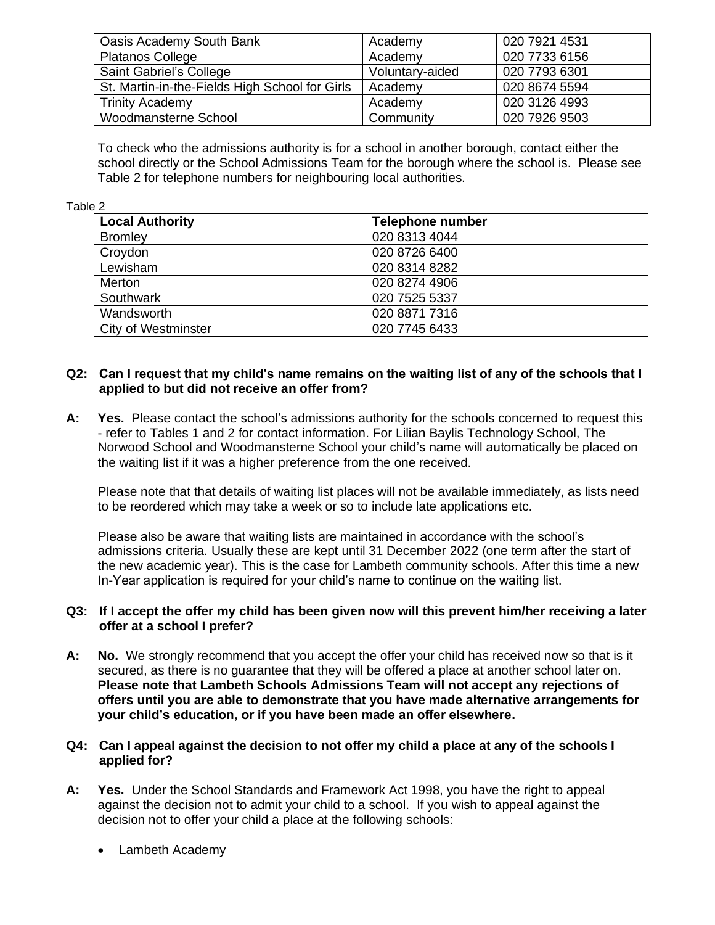| Oasis Academy South Bank                       | Academy         | 020 7921 4531 |
|------------------------------------------------|-----------------|---------------|
| <b>Platanos College</b>                        | Academy         | 020 7733 6156 |
| Saint Gabriel's College                        | Voluntary-aided | 020 7793 6301 |
| St. Martin-in-the-Fields High School for Girls | Academy         | 020 8674 5594 |
| <b>Trinity Academy</b>                         | Academy         | 020 3126 4993 |
| Woodmansterne School                           | Community       | 020 7926 9503 |

To check who the admissions authority is for a school in another borough, contact either the school directly or the School Admissions Team for the borough where the school is. Please see Table 2 for telephone numbers for neighbouring local authorities.

#### Table 2

| <b>Local Authority</b> | Telephone number |
|------------------------|------------------|
| <b>Bromley</b>         | 020 8313 4044    |
| Croydon                | 020 8726 6400    |
| Lewisham               | 020 8314 8282    |
| Merton                 | 020 8274 4906    |
| Southwark              | 020 7525 5337    |
| Wandsworth             | 020 8871 7316    |
| City of Westminster    | 020 7745 6433    |

## **Q2: Can I request that my child's name remains on the waiting list of any of the schools that I applied to but did not receive an offer from?**

**A: Yes.** Please contact the school's admissions authority for the schools concerned to request this - refer to Tables 1 and 2 for contact information. For Lilian Baylis Technology School, The Norwood School and Woodmansterne School your child's name will automatically be placed on the waiting list if it was a higher preference from the one received.

Please note that that details of waiting list places will not be available immediately, as lists need to be reordered which may take a week or so to include late applications etc.

Please also be aware that waiting lists are maintained in accordance with the school's admissions criteria. Usually these are kept until 31 December 2022 (one term after the start of the new academic year). This is the case for Lambeth community schools. After this time a new In-Year application is required for your child's name to continue on the waiting list.

## **Q3: If I accept the offer my child has been given now will this prevent him/her receiving a later offer at a school I prefer?**

**A: No.** We strongly recommend that you accept the offer your child has received now so that is it secured, as there is no guarantee that they will be offered a place at another school later on. **Please note that Lambeth Schools Admissions Team will not accept any rejections of offers until you are able to demonstrate that you have made alternative arrangements for your child's education, or if you have been made an offer elsewhere.**

## **Q4: Can I appeal against the decision to not offer my child a place at any of the schools I applied for?**

- **A: Yes.** Under the School Standards and Framework Act 1998, you have the right to appeal against the decision not to admit your child to a school. If you wish to appeal against the decision not to offer your child a place at the following schools:
	- Lambeth Academy